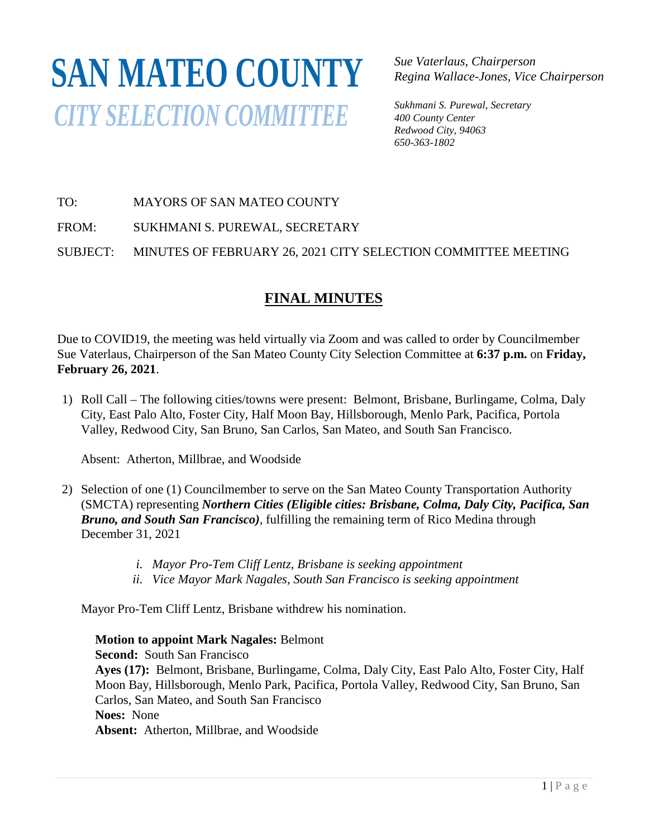## **SAN MATEO COUNTY***CITY SELECTION COMMITTEE*

*Sue Vaterlaus, Chairperson Regina Wallace-Jones, Vice Chairperson*

*Sukhmani S. Purewal, Secretary 400 County Center Redwood City, 94063 650-363-1802*

TO: MAYORS OF SAN MATEO COUNTY

FROM: SUKHMANI S. PUREWAL, SECRETARY

SUBJECT: MINUTES OF FEBRUARY 26, 2021 CITY SELECTION COMMITTEE MEETING

## **FINAL MINUTES**

Due to COVID19, the meeting was held virtually via Zoom and was called to order by Councilmember Sue Vaterlaus, Chairperson of the San Mateo County City Selection Committee at **6:37 p.m.** on **Friday, February 26, 2021**.

1) Roll Call – The following cities/towns were present: Belmont, Brisbane, Burlingame, Colma, Daly City, East Palo Alto, Foster City, Half Moon Bay, Hillsborough, Menlo Park, Pacifica, Portola Valley, Redwood City, San Bruno, San Carlos, San Mateo, and South San Francisco.

Absent: Atherton, Millbrae, and Woodside

- 2) Selection of one (1) Councilmember to serve on the San Mateo County Transportation Authority (SMCTA) representing *Northern Cities (Eligible cities: Brisbane, Colma, Daly City, Pacifica, San Bruno, and South San Francisco),* fulfilling the remaining term of Rico Medina through December 31, 2021
	- *i. Mayor Pro-Tem Cliff Lentz, Brisbane is seeking appointment*
	- *ii. Vice Mayor Mark Nagales, South San Francisco is seeking appointment*

Mayor Pro-Tem Cliff Lentz, Brisbane withdrew his nomination.

**Motion to appoint Mark Nagales:** Belmont

**Second:** South San Francisco **Ayes (17):** Belmont, Brisbane, Burlingame, Colma, Daly City, East Palo Alto, Foster City, Half Moon Bay, Hillsborough, Menlo Park, Pacifica, Portola Valley, Redwood City, San Bruno, San Carlos, San Mateo, and South San Francisco **Noes:** None **Absent:** Atherton, Millbrae, and Woodside